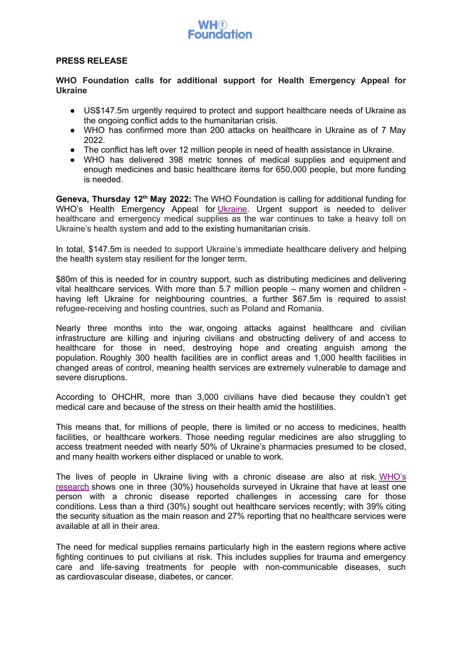## **PRESS RELEASE**

**WHO Foundation calls for additional support for Health Emergency Appeal for Ukraine**

- US\$147.5m urgently required to protect and support healthcare needs of Ukraine as the ongoing conflict adds to the humanitarian crisis.
- WHO has confirmed more than 200 attacks on healthcare in Ukraine as of 7 May 2022.
- The conflict has left over 12 million people in need of health assistance in Ukraine.
- WHO has delivered 398 metric tonnes of medical supplies and equipment and enough medicines and basic healthcare items for 650,000 people, but more funding is needed.

Geneva, Thursday 12<sup>th</sup> May 2022: The WHO Foundation is calling for additional funding for WHO's Health Emergency Appeal for [Ukraine](https://protect-eu.mimecast.com/s/tbIFCZr3hQlmvoizBusE/). Urgent support is needed to deliver healthcare and emergency medical supplies as the war continues to take a heavy toll on Ukraine's health system and add to the existing humanitarian crisis.

In total, \$147.5m is needed to support Ukraine's immediate healthcare delivery and helping the health system stay resilient for the longer term.

\$80m of this is needed for in country support, such as distributing medicines and delivering vital healthcare services. With more than 5.7 million people – many women and children having left Ukraine for neighbouring countries, a further \$67.5m is required to assist refugee-receiving and hosting countries, such as Poland and Romania.

Nearly three months into the war, ongoing attacks against healthcare and civilian infrastructure are killing and injuring civilians and obstructing delivery of and access to healthcare for those in need, destroying hope and creating anguish among the population. Roughly 300 health facilities are in conflict areas and 1,000 health facilities in changed areas of control, meaning health services are extremely vulnerable to damage and severe disruptions.

According to OHCHR, more than 3,000 civilians have died because they couldn't get medical care and because of the stress on their health amid the hostilities.

This means that, for millions of people, there is limited or no access to medicines, health facilities, or healthcare workers. Those needing regular medicines are also struggling to access treatment needed with nearly 50% of Ukraine's pharmacies presumed to be closed, and many health workers either displaced or unable to work.

The lives of people in Ukraine living with a chronic disease are also at risk. [WHO's](https://protect-eu.mimecast.com/s/wORgC132hq3jgEiGnGRk) [research](https://protect-eu.mimecast.com/s/wORgC132hq3jgEiGnGRk) shows one in three (30%) households surveyed in Ukraine that have at least one person with a chronic disease reported challenges in accessing care for those conditions. Less than a third (30%) sought out healthcare services recently; with 39% citing the security situation as the main reason and 27% reporting that no healthcare services were available at all in their area.

The need for medical supplies remains particularly high in the eastern regions where active fighting continues to put civilians at risk. This includes supplies for trauma and emergency care and life-saving treatments for people with non-communicable diseases, such as cardiovascular disease, diabetes, or cancer.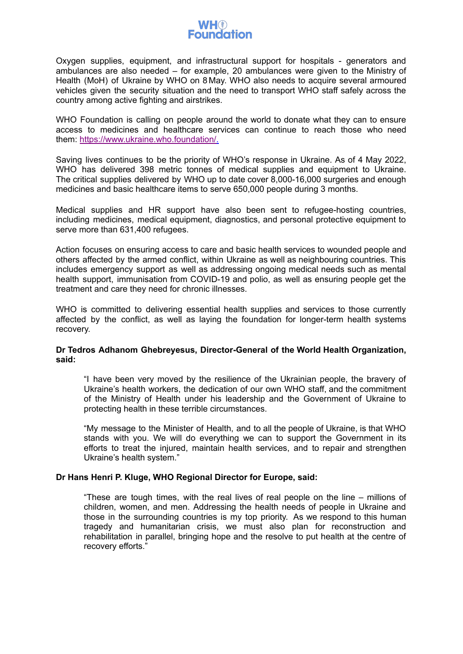

Oxygen supplies, equipment, and infrastructural support for hospitals - generators and ambulances are also needed – for example, 20 ambulances were given to the Ministry of Health (MoH) of Ukraine by WHO on 8 May. WHO also needs to acquire several armoured vehicles given the security situation and the need to transport WHO staff safely across the country among active fighting and airstrikes.

WHO Foundation is calling on people around the world to donate what they can to ensure access to medicines and healthcare services can continue to reach those who need them: [https://www.ukraine.who.foundation/.](https://protect-eu.mimecast.com/s/tbIFCZr3hQlmvoizBusE/)

Saving lives continues to be the priority of WHO's response in Ukraine. As of 4 May 2022, WHO has delivered 398 metric tonnes of medical supplies and equipment to Ukraine. The critical supplies delivered by WHO up to date cover 8,000-16,000 surgeries and enough medicines and basic healthcare items to serve 650,000 people during 3 months.

Medical supplies and HR support have also been sent to refugee-hosting countries, including medicines, medical equipment, diagnostics, and personal protective equipment to serve more than 631,400 refugees.

Action focuses on ensuring access to care and basic health services to wounded people and others affected by the armed conflict, within Ukraine as well as neighbouring countries. This includes emergency support as well as addressing ongoing medical needs such as mental health support, immunisation from COVID-19 and polio, as well as ensuring people get the treatment and care they need for chronic illnesses.

WHO is committed to delivering essential health supplies and services to those currently affected by the conflict, as well as laying the foundation for longer-term health systems recovery.

# **Dr Tedros Adhanom Ghebreyesus, Director-General of the World Health Organization, said:**

"I have been very moved by the resilience of the Ukrainian people, the bravery of Ukraine's health workers, the dedication of our own WHO staff, and the commitment of the Ministry of Health under his leadership and the Government of Ukraine to protecting health in these terrible circumstances.

"My message to the Minister of Health, and to all the people of Ukraine, is that WHO stands with you. We will do everything we can to support the Government in its efforts to treat the injured, maintain health services, and to repair and strengthen Ukraine's health system."

# **Dr Hans Henri P. Kluge, WHO Regional Director for Europe, said:**

"These are tough times, with the real lives of real people on the line – millions of children, women, and men. Addressing the health needs of people in Ukraine and those in the surrounding countries is my top priority. As we respond to this human tragedy and humanitarian crisis, we must also plan for reconstruction and rehabilitation in parallel, bringing hope and the resolve to put health at the centre of recovery efforts."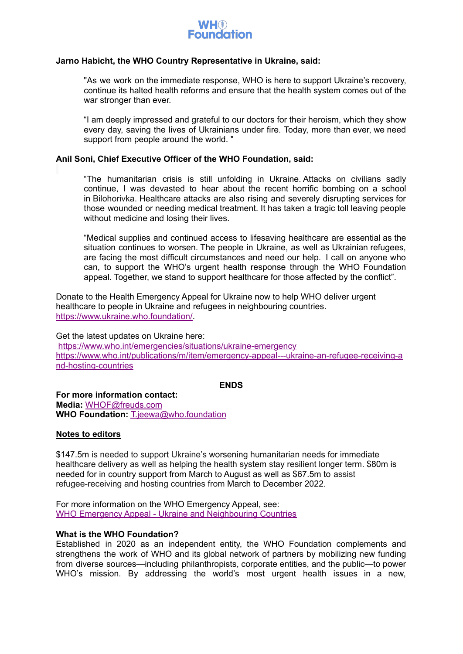

# **Jarno Habicht, the WHO Country Representative in Ukraine, said:**

"As we work on the immediate response, WHO is here to support Ukraine's recovery, continue its halted health reforms and ensure that the health system comes out of the war stronger than ever.

"I am deeply impressed and grateful to our doctors for their heroism, which they show every day, saving the lives of Ukrainians under fire. Today, more than ever, we need support from people around the world. "

# **Anil Soni, Chief Executive Officer of the WHO Foundation, said:**

"The humanitarian crisis is still unfolding in Ukraine. Attacks on civilians sadly continue, I was devasted to hear about the recent horrific bombing on a school in Bilohorivka. Healthcare attacks are also rising and severely disrupting services for those wounded or needing medical treatment. It has taken a tragic toll leaving people without medicine and losing their lives.

"Medical supplies and continued access to lifesaving healthcare are essential as the situation continues to worsen. The people in Ukraine, as well as Ukrainian refugees, are facing the most difficult circumstances and need our help. I call on anyone who can, to support the WHO's urgent health response through the WHO Foundation appeal. Together, we stand to support healthcare for those affected by the conflict".

Donate to the Health Emergency Appeal for Ukraine now to help WHO deliver urgent healthcare to people in Ukraine and refugees in neighbouring countries. [https://www.ukraine.who.foundation/.](https://protect-eu.mimecast.com/s/tbIFCZr3hQlmvoizBusE/)

Get the latest updates on Ukraine here: [https://www.who.int/emergencies/situations/ukraine-emergency](https://protect-eu.mimecast.com/s/v2ymC3V4T2q83RhDWQQd) [https://www.who.int/publications/m/item/emergency-appeal---ukraine-an-refugee-receiving-a](https://protect-eu.mimecast.com/s/Qv-WC4G5ilgjP7UV6cGq) [nd-hosting-countries](https://protect-eu.mimecast.com/s/Qv-WC4G5ilgjP7UV6cGq)

# **ENDS**

**For more information contact: Media:** [WHOF@freuds.com](mailto:WHOF@freuds.com) **WHO Foundation:** [T.jeewa@who.foundation](mailto:T.jeewa@who.foundation)

# **Notes to editors**

\$147.5m is needed to support Ukraine's worsening humanitarian needs for immediate healthcare delivery as well as helping the health system stay resilient longer term. \$80m is needed for in country support from March to August as well as \$67.5m to assist refugee-receiving and hosting countries from March to December 2022.

For more information on the WHO Emergency Appeal, see: WHO Emergency Appeal - Ukraine and [Neighbouring](https://protect-eu.mimecast.com/s/Qv-WC4G5ilgjP7UV6cGq) Countries

# **What is the WHO Foundation?**

Established in 2020 as an independent entity, the WHO Foundation complements and strengthens the work of WHO and its global network of partners by mobilizing new funding from diverse sources—including philanthropists, corporate entities, and the public—to power WHO's mission. By addressing the world's most urgent health issues in a new,